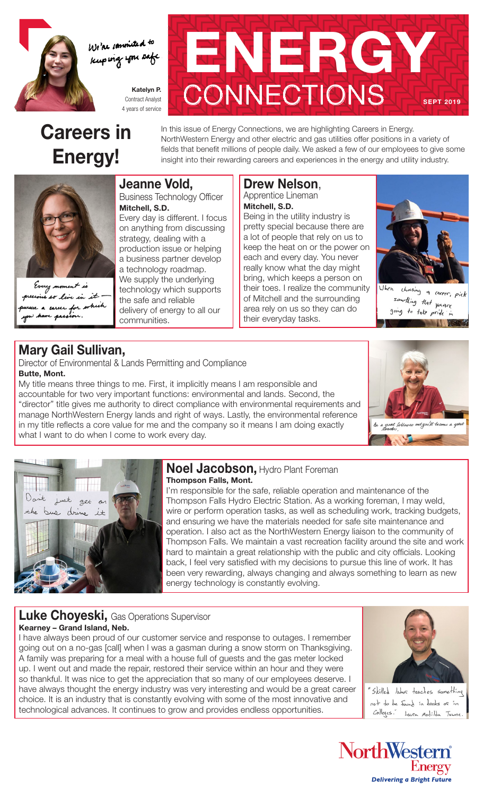

We're committed to Kuping you safe

> Katelyn P. Contract Analyst 4 years of service

## Careers in Energy!



In this issue of Energy Connections, we are highlighting Careers in Energy. NorthWestern Energy and other electric and gas utilities offer positions in a variety of fields that benefit millions of people daily. We asked a few of our employees to give some insight into their rewarding careers and experiences in the energy and utility industry.

### Jeanne Vold,

Business Technology Officer Mitchell, S.D.

Every day is different. I focus on anything from discussing strategy, dealing with a production issue or helping a business partner develop a technology roadmap. We supply the underlying technology which supports the safe and reliable delivery of energy to all our communities.

#### Drew Nelson, Apprentice Lineman Mitchell, S.D.

Being in the utility industry is pretty special because there are a lot of people that rely on us to keep the heat on or the power on each and every day. You never really know what the day might bring, which keeps a person on their toes. I realize the community of Mitchell and the surrounding area rely on us so they can do their everyday tasks.



choosing a career, pick Uhen semitting that years going to take pride in

### Mary Gail Sullivan,

so live in it

career for which

Every *moment* is

Director of Environmental & Lands Permitting and Compliance Butte, Mont.

My title means three things to me. First, it implicitly means I am responsible and accountable for two very important functions: environmental and lands. Second, the "director" title gives me authority to direct compliance with environmental requirements and manage NorthWestern Energy lands and right of ways. Lastly, the environmental reference in my title reflects a core value for me and the company so it means I am doing exactly what I want to do when I come to work every day.





#### Noel Jacobson, Hydro Plant Foreman Thompson Falls, Mont.

I'm responsible for the safe, reliable operation and maintenance of the Thompson Falls Hydro Electric Station. As a working foreman, I may weld, wire or perform operation tasks, as well as scheduling work, tracking budgets, and ensuring we have the materials needed for safe site maintenance and operation. I also act as the NorthWestern Energy liaison to the community of Thompson Falls. We maintain a vast recreation facility around the site and work hard to maintain a great relationship with the public and city officials. Looking back, I feel very satisfied with my decisions to pursue this line of work. It has been very rewarding, always changing and always something to learn as new energy technology is constantly evolving.

### Luke Choyeski, Gas Operations Supervisor Kearney – Grand Island, Neb.

I have always been proud of our customer service and response to outages. I remember going out on a no-gas [call] when I was a gasman during a snow storm on Thanksgiving. A family was preparing for a meal with a house full of guests and the gas meter locked up. I went out and made the repair, restored their service within an hour and they were so thankful. It was nice to get the appreciation that so many of our employees deserve. I have always thought the energy industry was very interesting and would be a great career choice. It is an industry that is constantly evolving with some of the most innovative and technological advances. It continues to grow and provides endless opportunities.



"Skilled labor teaches something not to be faind in books or in Colleges." Laura Matilda Towne